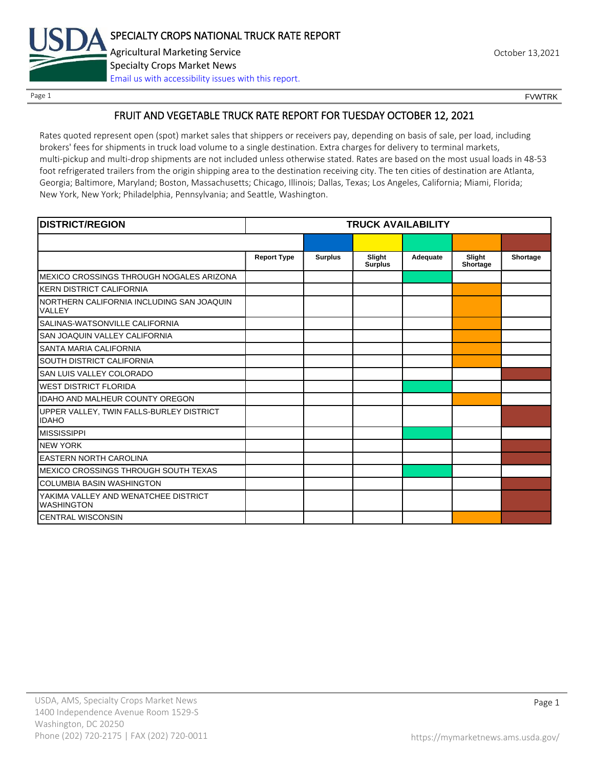

Page 1 FOUNTRK CONTROL CONTROL CONTROL CONTROL CONTROL CONTROL CONTROL CONTROL CONTROL CONTROL CONTROL CONTROL CONTROL CONTROL CONTROL CONTROL CONTROL CONTROL CONTROL CONTROL CONTROL CONTROL CONTROL CONTROL CONTROL CONTROL

# FRUIT AND VEGETABLE TRUCK RATE REPORT FOR TUESDAY OCTOBER 12, 2021

Rates quoted represent open (spot) market sales that shippers or receivers pay, depending on basis of sale, per load, including brokers' fees for shipments in truck load volume to a single destination. Extra charges for delivery to terminal markets, multi-pickup and multi-drop shipments are not included unless otherwise stated. Rates are based on the most usual loads in 48-53 foot refrigerated trailers from the origin shipping area to the destination receiving city. The ten cities of destination are Atlanta, Georgia; Baltimore, Maryland; Boston, Massachusetts; Chicago, Illinois; Dallas, Texas; Los Angeles, California; Miami, Florida; New York, New York; Philadelphia, Pennsylvania; and Seattle, Washington.

| <b>DISTRICT/REGION</b>                                    | <b>TRUCK AVAILABILITY</b> |                |                          |          |                    |          |
|-----------------------------------------------------------|---------------------------|----------------|--------------------------|----------|--------------------|----------|
|                                                           |                           |                |                          |          |                    |          |
|                                                           | <b>Report Type</b>        | <b>Surplus</b> | Slight<br><b>Surplus</b> | Adequate | Slight<br>Shortage | Shortage |
| MEXICO CROSSINGS THROUGH NOGALES ARIZONA                  |                           |                |                          |          |                    |          |
| <b>KERN DISTRICT CALIFORNIA</b>                           |                           |                |                          |          |                    |          |
| NORTHERN CALIFORNIA INCLUDING SAN JOAQUIN<br>VALLEY       |                           |                |                          |          |                    |          |
| SALINAS-WATSONVILLE CALIFORNIA                            |                           |                |                          |          |                    |          |
| SAN JOAQUIN VALLEY CALIFORNIA                             |                           |                |                          |          |                    |          |
| SANTA MARIA CALIFORNIA                                    |                           |                |                          |          |                    |          |
| SOUTH DISTRICT CALIFORNIA                                 |                           |                |                          |          |                    |          |
| SAN LUIS VALLEY COLORADO                                  |                           |                |                          |          |                    |          |
| <b>WEST DISTRICT FLORIDA</b>                              |                           |                |                          |          |                    |          |
| <b>IDAHO AND MALHEUR COUNTY OREGON</b>                    |                           |                |                          |          |                    |          |
| UPPER VALLEY, TWIN FALLS-BURLEY DISTRICT<br><b>IDAHO</b>  |                           |                |                          |          |                    |          |
| <b>MISSISSIPPI</b>                                        |                           |                |                          |          |                    |          |
| <b>NEW YORK</b>                                           |                           |                |                          |          |                    |          |
| <b>EASTERN NORTH CAROLINA</b>                             |                           |                |                          |          |                    |          |
| MEXICO CROSSINGS THROUGH SOUTH TEXAS                      |                           |                |                          |          |                    |          |
| <b>COLUMBIA BASIN WASHINGTON</b>                          |                           |                |                          |          |                    |          |
| YAKIMA VALLEY AND WENATCHEE DISTRICT<br><b>WASHINGTON</b> |                           |                |                          |          |                    |          |
| <b>CENTRAL WISCONSIN</b>                                  |                           |                |                          |          |                    |          |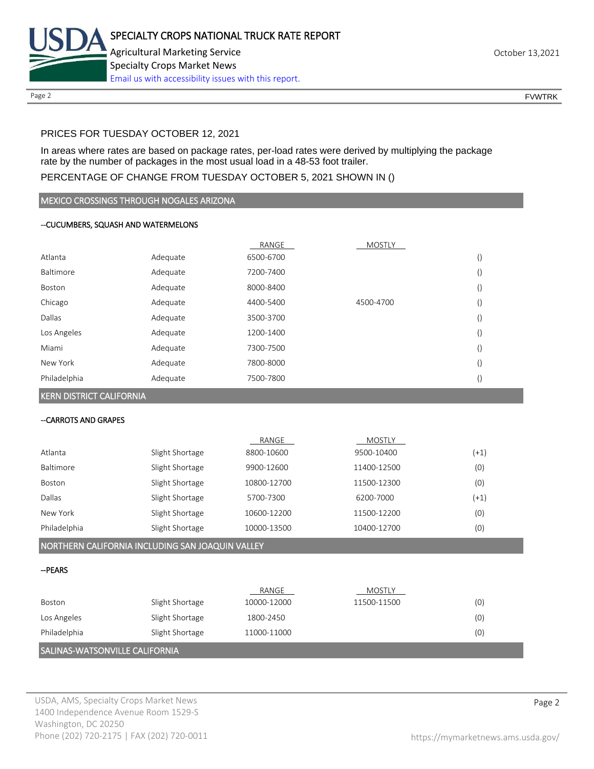

# PRICES FOR TUESDAY OCTOBER 12, 2021

In areas where rates are based on package rates, per-load rates were derived by multiplying the package rate by the number of packages in the most usual load in a 48-53 foot trailer.

## PERCENTAGE OF CHANGE FROM TUESDAY OCTOBER 5, 2021 SHOWN IN ()

#### MEXICO CROSSINGS THROUGH NOGALES ARIZONA

#### --CUCUMBERS, SQUASH AND WATERMELONS

|              |          | RANGE     | <b>MOSTLY</b> |  |
|--------------|----------|-----------|---------------|--|
| Atlanta      | Adequate | 6500-6700 |               |  |
| Baltimore    | Adequate | 7200-7400 |               |  |
| Boston       | Adequate | 8000-8400 |               |  |
| Chicago      | Adequate | 4400-5400 | 4500-4700     |  |
| Dallas       | Adequate | 3500-3700 |               |  |
| Los Angeles  | Adequate | 1200-1400 |               |  |
| Miami        | Adequate | 7300-7500 |               |  |
| New York     | Adequate | 7800-8000 |               |  |
| Philadelphia | Adequate | 7500-7800 |               |  |

#### KERN DISTRICT CALIFORNIA

#### --CARROTS AND GRAPES

|               |                 | RANGE       | <b>MOSTLY</b> |        |
|---------------|-----------------|-------------|---------------|--------|
| Atlanta       | Slight Shortage | 8800-10600  | 9500-10400    | $(+1)$ |
| Baltimore     | Slight Shortage | 9900-12600  | 11400-12500   | (0)    |
| Boston        | Slight Shortage | 10800-12700 | 11500-12300   | (0)    |
| <b>Dallas</b> | Slight Shortage | 5700-7300   | 6200-7000     | $(+1)$ |
| New York      | Slight Shortage | 10600-12200 | 11500-12200   | (0)    |
| Philadelphia  | Slight Shortage | 10000-13500 | 10400-12700   | (0)    |

## NORTHERN CALIFORNIA INCLUDING SAN JOAQUIN VALLEY

#### --PEARS

|                                |                 | RANGE       | MOSTLY      |     |
|--------------------------------|-----------------|-------------|-------------|-----|
| Boston                         | Slight Shortage | 10000-12000 | 11500-11500 | (0) |
| Los Angeles                    | Slight Shortage | 1800-2450   |             | (0) |
| Philadelphia                   | Slight Shortage | 11000-11000 |             | (0) |
| SALINAS-WATSONVILLE CALIFORNIA |                 |             |             |     |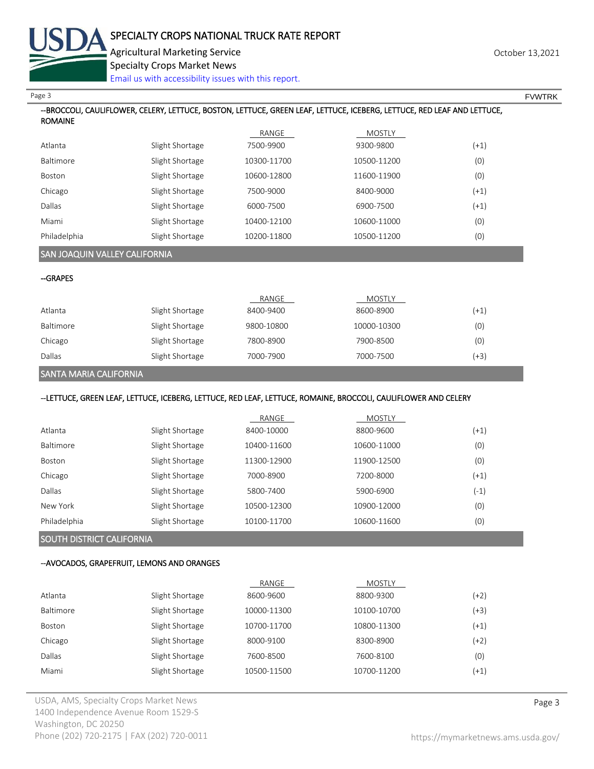

|                           | <b>Specialty Crops Market News</b><br>Email us with accessibility issues with this report.                              |                    |                     |               |  |
|---------------------------|-------------------------------------------------------------------------------------------------------------------------|--------------------|---------------------|---------------|--|
| Page 3                    |                                                                                                                         |                    |                     | <b>FVWTRK</b> |  |
| <b>ROMAINE</b>            | --BROCCOLI, CAULIFLOWER, CELERY, LETTUCE, BOSTON, LETTUCE, GREEN LEAF, LETTUCE, ICEBERG, LETTUCE, RED LEAF AND LETTUCE, |                    |                     |               |  |
|                           |                                                                                                                         | RANGE              | MOSTLY              |               |  |
| Atlanta                   | Slight Shortage                                                                                                         | 7500-9900          | 9300-9800           | $(+1)$        |  |
| Baltimore                 | Slight Shortage                                                                                                         | 10300-11700        | 10500-11200         | (0)           |  |
| Boston                    | Slight Shortage                                                                                                         | 10600-12800        | 11600-11900         | (0)           |  |
| Chicago                   | Slight Shortage                                                                                                         | 7500-9000          | 8400-9000           | $(+1)$        |  |
| Dallas                    | Slight Shortage                                                                                                         | 6000-7500          | 6900-7500           | $(+1)$        |  |
| Miami                     | Slight Shortage                                                                                                         | 10400-12100        | 10600-11000         | (0)           |  |
| Philadelphia              | Slight Shortage                                                                                                         | 10200-11800        | 10500-11200         | (0)           |  |
|                           | SAN JOAQUIN VALLEY CALIFORNIA                                                                                           |                    |                     |               |  |
| -GRAPES                   |                                                                                                                         |                    |                     |               |  |
| Atlanta                   | Slight Shortage                                                                                                         | RANGE<br>8400-9400 | MOSTLY<br>8600-8900 | $(+1)$        |  |
| Baltimore                 | Slight Shortage                                                                                                         | 9800-10800         | 10000-10300         | (0)           |  |
| Chicago                   | Slight Shortage                                                                                                         | 7800-8900          | 7900-8500           | (0)           |  |
| Dallas                    | Slight Shortage                                                                                                         | 7000-7900          | 7000-7500           | $(+3)$        |  |
| SANTA MARIA CALIFORNIA    |                                                                                                                         |                    |                     |               |  |
|                           | --LETTUCE, GREEN LEAF, LETTUCE, ICEBERG, LETTUCE, RED LEAF, LETTUCE, ROMAINE, BROCCOLI, CAULIFLOWER AND CELERY          |                    |                     |               |  |
|                           |                                                                                                                         | RANGE              | <b>MOSTLY</b>       |               |  |
| Atlanta                   | Slight Shortage                                                                                                         | 8400-10000         | 8800-9600           | $(+1)$        |  |
| Baltimore                 | Slight Shortage                                                                                                         | 10400-11600        | 10600-11000         | (0)           |  |
| Boston                    | Slight Shortage                                                                                                         | 11300-12900        | 11900-12500         | (0)           |  |
| Chicago                   | Slight Shortage                                                                                                         | 7000-8900          | 7200-8000           | $(+1)$        |  |
| Dallas                    | Slight Shortage                                                                                                         | 5800-7400          | 5900-6900           | $(-1)$        |  |
| New York                  | Slight Shortage                                                                                                         | 10500-12300        | 10900-12000         | (0)           |  |
| Philadelphia              | Slight Shortage                                                                                                         | 10100-11700        | 10600-11600         | (0)           |  |
| SOUTH DISTRICT CALIFORNIA |                                                                                                                         |                    |                     |               |  |
|                           | --AVOCADOS, GRAPEFRUIT, LEMONS AND ORANGES                                                                              |                    |                     |               |  |
|                           |                                                                                                                         | RANGE              | <b>MOSTLY</b>       |               |  |
| Atlanta                   | Slight Shortage                                                                                                         | 8600-9600          | 8800-9300           | $(+2)$        |  |
| Baltimore                 | Slight Shortage                                                                                                         | 10000-11300        | 10100-10700         | $(+3)$        |  |
| Boston                    | Slight Shortage                                                                                                         | 10700-11700        | 10800-11300         | $(+1)$        |  |
| Chicago                   | Slight Shortage                                                                                                         | 8000-9100          | 8300-8900           | $(+2)$        |  |
| Dallas                    | Slight Shortage                                                                                                         | 7600-8500          | 7600-8100           | (0)           |  |

Miami Slight Shortage 10500-11500 10700-11200 (+1)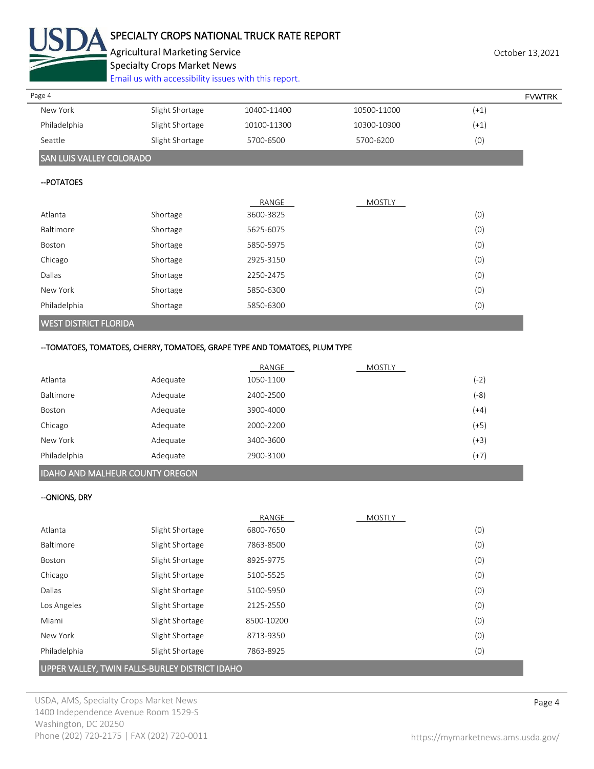

# SPECIALTY CROPS NATIONAL TRUCK RATE REPORT

Agricultural Marketing Service **Agricultural Marketing Service** Agricultural Marketing Service

Specialty Crops Market News

[Email us with accessibility issues with this report.](mailto:mars@ams.usda.gov?subject=508%20Inquiry/Report)

| Page 4       |                 |             |             |           | <b>FVWTRK</b> |
|--------------|-----------------|-------------|-------------|-----------|---------------|
| New York     | Slight Shortage | 10400-11400 | 10500-11000 | $(+1, 1)$ |               |
| Philadelphia | Slight Shortage | 10100-11300 | 10300-10900 | $(+1)$    |               |
| Seattle      | Slight Shortage | 5700-6500   | 5700-6200   | (0)       |               |

# SAN LUIS VALLEY COLORADO

#### --POTATOES

|              |          | RANGE     | <b>MOSTLY</b> |     |
|--------------|----------|-----------|---------------|-----|
| Atlanta      | Shortage | 3600-3825 |               | (0) |
| Baltimore    | Shortage | 5625-6075 |               | (0) |
| Boston       | Shortage | 5850-5975 |               | (0) |
| Chicago      | Shortage | 2925-3150 |               | (0) |
| Dallas       | Shortage | 2250-2475 |               | (0) |
| New York     | Shortage | 5850-6300 |               | (0) |
| Philadelphia | Shortage | 5850-6300 |               | (0) |
|              |          |           |               |     |

# WEST DISTRICT FLORIDA

# --TOMATOES, TOMATOES, CHERRY, TOMATOES, GRAPE TYPE AND TOMATOES, PLUM TYPE

|                  |          | RANGE     | <b>MOSTLY</b> |        |
|------------------|----------|-----------|---------------|--------|
| Atlanta          | Adequate | 1050-1100 |               | (-2)   |
| <b>Baltimore</b> | Adequate | 2400-2500 |               | (-8)   |
| Boston           | Adequate | 3900-4000 |               | $(+4)$ |
| Chicago          | Adequate | 2000-2200 |               | $(+5)$ |
| New York         | Adequate | 3400-3600 |               | $(+3)$ |
| Philadelphia     | Adequate | 2900-3100 |               | $(+7)$ |

# IDAHO AND MALHEUR COUNTY OREGON

## --ONIONS, DRY

|              |                 | RANGE      | <b>MOSTLY</b> |     |
|--------------|-----------------|------------|---------------|-----|
| Atlanta      | Slight Shortage | 6800-7650  |               | (0) |
| Baltimore    | Slight Shortage | 7863-8500  |               | (0) |
| Boston       | Slight Shortage | 8925-9775  |               | (0) |
| Chicago      | Slight Shortage | 5100-5525  |               | (0) |
| Dallas       | Slight Shortage | 5100-5950  |               | (0) |
| Los Angeles  | Slight Shortage | 2125-2550  |               | (0) |
| Miami        | Slight Shortage | 8500-10200 |               | (0) |
| New York     | Slight Shortage | 8713-9350  |               | (0) |
| Philadelphia | Slight Shortage | 7863-8925  |               | (0) |

# UPPER VALLEY, TWIN FALLS-BURLEY DISTRICT IDAHO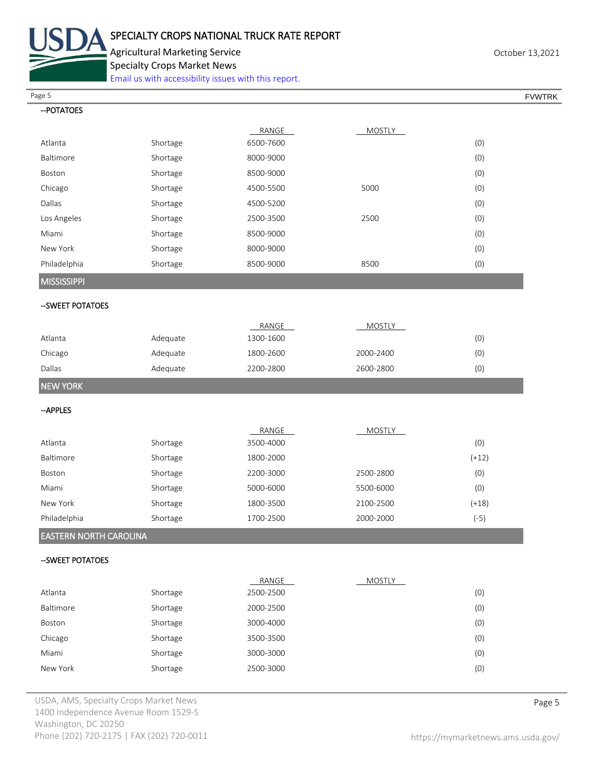

Agricultural Marketing Service **Agricultural Marketing Service** Agricultural Marketing Service

Specialty Crops Market News

[Email us with accessibility issues with this report.](mailto:mars@ams.usda.gov?subject=508%20Inquiry/Report)

Page 5 FOUNTRK And the set of the set of the set of the set of the set of the set of the set of the set of the set of the set of the set of the set of the set of the set of the set of the set of the set of the set of the s

| -- POTATOES                   |          |           |               |         |
|-------------------------------|----------|-----------|---------------|---------|
|                               |          | RANGE     | <b>MOSTLY</b> |         |
| Atlanta                       | Shortage | 6500-7600 |               | (0)     |
| Baltimore                     | Shortage | 8000-9000 |               | (0)     |
| Boston                        | Shortage | 8500-9000 |               | (0)     |
| Chicago                       | Shortage | 4500-5500 | 5000          | (0)     |
| Dallas                        | Shortage | 4500-5200 |               | (0)     |
| Los Angeles                   | Shortage | 2500-3500 | 2500          | (0)     |
| Miami                         | Shortage | 8500-9000 |               | (0)     |
| New York                      | Shortage | 8000-9000 |               | (0)     |
| Philadelphia                  | Shortage | 8500-9000 | 8500          | (0)     |
| <b>MISSISSIPPI</b>            |          |           |               |         |
| -- SWEET POTATOES             |          |           |               |         |
|                               |          | RANGE     | <b>MOSTLY</b> |         |
| Atlanta                       | Adequate | 1300-1600 |               | (0)     |
| Chicago                       | Adequate | 1800-2600 | 2000-2400     | (0)     |
| Dallas                        | Adequate | 2200-2800 | 2600-2800     | (0)     |
| <b>NEW YORK</b>               |          |           |               |         |
| -- APPLES                     |          |           |               |         |
|                               |          | RANGE     | <b>MOSTLY</b> |         |
| Atlanta                       | Shortage | 3500-4000 |               | (0)     |
| Baltimore                     | Shortage | 1800-2000 |               | $(+12)$ |
| Boston                        | Shortage | 2200-3000 | 2500-2800     | (0)     |
| Miami                         | Shortage | 5000-6000 | 5500-6000     | (0)     |
| New York                      | Shortage | 1800-3500 | 2100-2500     | $(+18)$ |
| Philadelphia                  | Shortage | 1700-2500 | 2000-2000     | $(-5)$  |
| <b>EASTERN NORTH CAROLINA</b> |          |           |               |         |
| -- SWEET POTATOES             |          |           |               |         |
|                               |          | RANGE     | <b>MOSTLY</b> |         |
| Atlanta                       | Shortage | 2500-2500 |               | (0)     |
| Baltimore                     | Shortage | 2000-2500 |               | (0)     |
| Boston                        | Shortage | 3000-4000 |               | (0)     |
| Chicago                       | Shortage | 3500-3500 |               | (0)     |
| Miami                         | Shortage | 3000-3000 |               | (0)     |
| New York                      | Shortage | 2500-3000 |               | (0)     |
|                               |          |           |               |         |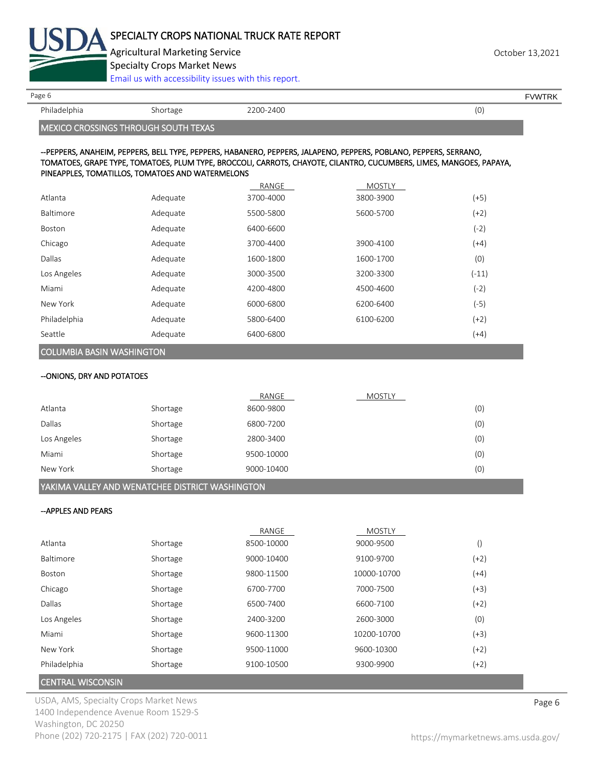

Agricultural Marketing Service **Containers** 2001 12:00 and 2001 12:00 and 2001 12:00 and 2001 13:2021 Specialty Crops Market News

[Email us with accessibility issues with this report.](mailto:mars@ams.usda.gov?subject=508%20Inquiry/Report)

Philadelphia Shortage 2200-2400 (0)

Page 6 FVWTRK

MEXICO CROSSINGS THROUGH SOUTH TEXAS

#### --PEPPERS, ANAHEIM, PEPPERS, BELL TYPE, PEPPERS, HABANERO, PEPPERS, JALAPENO, PEPPERS, POBLANO, PEPPERS, SERRANO, TOMATOES, GRAPE TYPE, TOMATOES, PLUM TYPE, BROCCOLI, CARROTS, CHAYOTE, CILANTRO, CUCUMBERS, LIMES, MANGOES, PAPAYA, PINEAPPLES, TOMATILLOS, TOMATOES AND WATERMELONS

|                                  |          | RANGE     | <b>MOSTLY</b> |         |
|----------------------------------|----------|-----------|---------------|---------|
| Atlanta                          | Adequate | 3700-4000 | 3800-3900     | $(+5)$  |
| Baltimore                        | Adequate | 5500-5800 | 5600-5700     | (+2)    |
| <b>Boston</b>                    | Adequate | 6400-6600 |               | $(-2)$  |
| Chicago                          | Adequate | 3700-4400 | 3900-4100     | $(+4)$  |
| Dallas                           | Adequate | 1600-1800 | 1600-1700     | (0)     |
| Los Angeles                      | Adequate | 3000-3500 | 3200-3300     | $(-11)$ |
| Miami                            | Adequate | 4200-4800 | 4500-4600     | (-2)    |
| New York                         | Adequate | 6000-6800 | 6200-6400     | $(-5)$  |
| Philadelphia                     | Adequate | 5800-6400 | 6100-6200     | $(+2)$  |
| Seattle                          | Adequate | 6400-6800 |               | $(+4)$  |
| <b>COLUMBIA BASIN WASHINGTON</b> |          |           |               |         |

# --ONIONS, DRY AND POTATOES

|             |          | RANGE      | <b>MOSTLY</b> |     |
|-------------|----------|------------|---------------|-----|
| Atlanta     | Shortage | 8600-9800  |               | (0) |
| Dallas      | Shortage | 6800-7200  |               | (0) |
| Los Angeles | Shortage | 2800-3400  |               | (0) |
| Miami       | Shortage | 9500-10000 |               | (0) |
| New York    | Shortage | 9000-10400 |               | (0) |

# YAKIMA VALLEY AND WENATCHEE DISTRICT WASHINGTON

#### --APPLES AND PEARS

|              |          | RANGE      | <b>MOSTLY</b> |                  |
|--------------|----------|------------|---------------|------------------|
| Atlanta      | Shortage | 8500-10000 | 9000-9500     | $\left( \right)$ |
| Baltimore    | Shortage | 9000-10400 | 9100-9700     | $(+2)$           |
| Boston       | Shortage | 9800-11500 | 10000-10700   | $(+4)$           |
| Chicago      | Shortage | 6700-7700  | 7000-7500     | $(+3)$           |
| Dallas       | Shortage | 6500-7400  | 6600-7100     | $(+2)$           |
| Los Angeles  | Shortage | 2400-3200  | 2600-3000     | (0)              |
| Miami        | Shortage | 9600-11300 | 10200-10700   | $(+3)$           |
| New York     | Shortage | 9500-11000 | 9600-10300    | $(+2)$           |
| Philadelphia | Shortage | 9100-10500 | 9300-9900     | $(+2)$           |
|              |          |            |               |                  |

#### CENTRAL WISCONSIN

USDA, AMS, Specialty Crops Market News **Page 6** 1400 Independence Avenue Room 1529-S Washington, DC 20250 Phone (202) 720-2175 | FAX (202) 720-0011 <https://mymarketnews.ams.usda.gov/>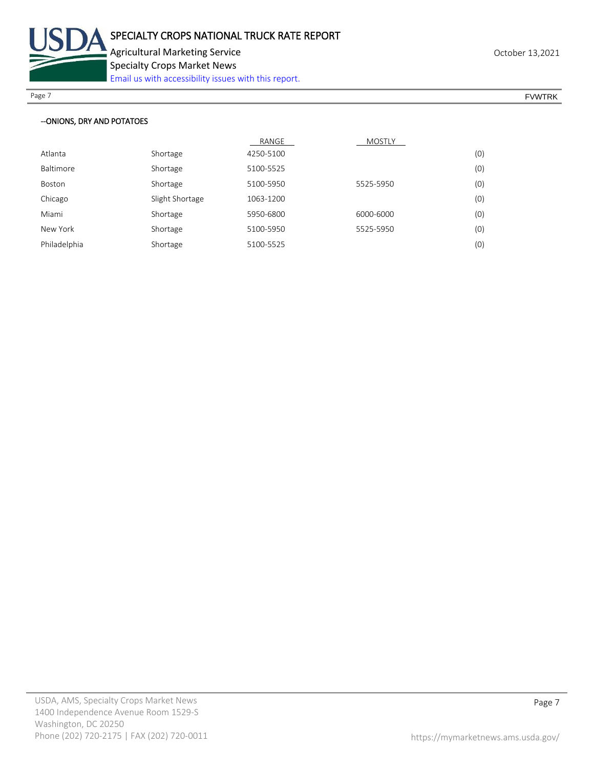

Specialty Crops Market News

[Email us with accessibility issues with this report.](mailto:mars@ams.usda.gov?subject=508%20Inquiry/Report)

Page 7 FOUNTRK And the set of the set of the set of the set of the set of the set of the set of the set of the set of the set of the set of the set of the set of the set of the set of the set of the set of the set of the s

#### --ONIONS, DRY AND POTATOES

|              |                 | RANGE     | MOSTLY    |     |
|--------------|-----------------|-----------|-----------|-----|
| Atlanta      | Shortage        | 4250-5100 |           | (0) |
| Baltimore    | Shortage        | 5100-5525 |           | (0) |
| Boston       | Shortage        | 5100-5950 | 5525-5950 | (0) |
| Chicago      | Slight Shortage | 1063-1200 |           | (0) |
| Miami        | Shortage        | 5950-6800 | 6000-6000 | (0) |
| New York     | Shortage        | 5100-5950 | 5525-5950 | (0) |
| Philadelphia | Shortage        | 5100-5525 |           | (0) |